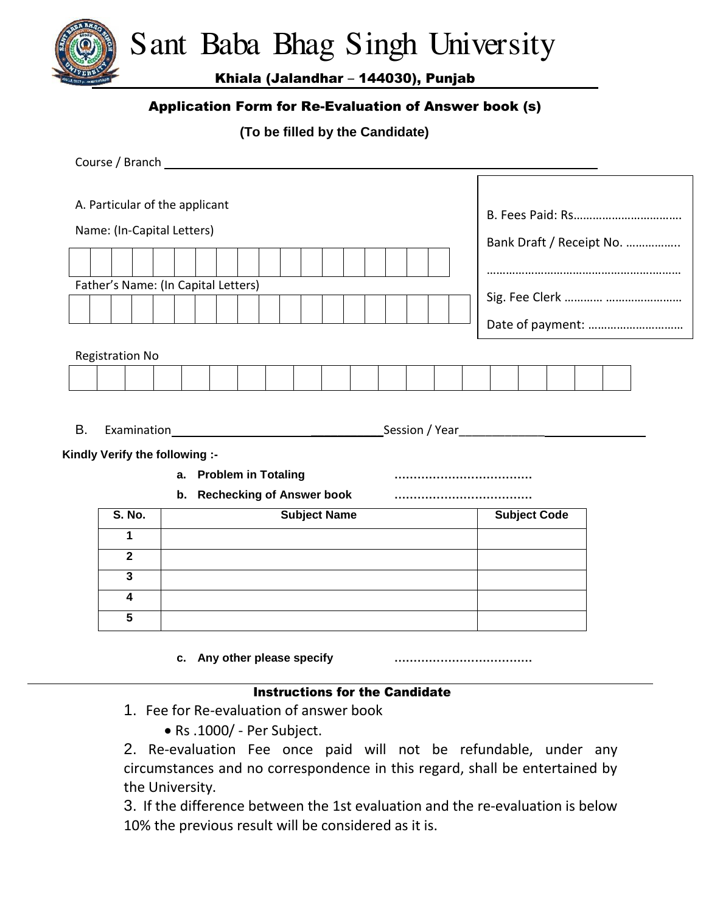Sant Baba Bhag Singh University

Khiala (Jalandhar – 144030), Punjab

## Application Form for Re-Evaluation of Answer book (s)

**(To be filled by the Candidate)**

|                                                                                                | A. Particular of the applicant<br>Name: (In-Capital Letters)<br>Father's Name: (In Capital Letters) |                     |  |  |                     |  |  |  |                             | Bank Draft / Receipt No.<br>Date of payment: |  |  |  |  |  |                     |  |  |  |  |  |  |  |
|------------------------------------------------------------------------------------------------|-----------------------------------------------------------------------------------------------------|---------------------|--|--|---------------------|--|--|--|-----------------------------|----------------------------------------------|--|--|--|--|--|---------------------|--|--|--|--|--|--|--|
| <b>Registration No</b>                                                                         |                                                                                                     |                     |  |  |                     |  |  |  |                             |                                              |  |  |  |  |  |                     |  |  |  |  |  |  |  |
|                                                                                                |                                                                                                     |                     |  |  |                     |  |  |  |                             |                                              |  |  |  |  |  |                     |  |  |  |  |  |  |  |
| B.<br>Kindly Verify the following :-<br>a. Problem in Totaling<br>b. Rechecking of Answer book |                                                                                                     |                     |  |  |                     |  |  |  |                             |                                              |  |  |  |  |  |                     |  |  |  |  |  |  |  |
|                                                                                                |                                                                                                     | <b>S. No.</b>       |  |  | <b>Subject Name</b> |  |  |  |                             |                                              |  |  |  |  |  | <b>Subject Code</b> |  |  |  |  |  |  |  |
|                                                                                                |                                                                                                     | 1                   |  |  |                     |  |  |  |                             |                                              |  |  |  |  |  |                     |  |  |  |  |  |  |  |
|                                                                                                | $\mathbf{2}$                                                                                        |                     |  |  |                     |  |  |  |                             |                                              |  |  |  |  |  |                     |  |  |  |  |  |  |  |
|                                                                                                |                                                                                                     | $\overline{3}$<br>4 |  |  |                     |  |  |  |                             |                                              |  |  |  |  |  |                     |  |  |  |  |  |  |  |
|                                                                                                |                                                                                                     | 5                   |  |  |                     |  |  |  |                             |                                              |  |  |  |  |  |                     |  |  |  |  |  |  |  |
|                                                                                                |                                                                                                     |                     |  |  |                     |  |  |  | c. Any other please specify |                                              |  |  |  |  |  |                     |  |  |  |  |  |  |  |
|                                                                                                | <b>Instructions for the Candidate</b><br>1. Fee for Re-evaluation of answer book                    |                     |  |  |                     |  |  |  |                             |                                              |  |  |  |  |  |                     |  |  |  |  |  |  |  |

• Rs .1000/ - Per Subject.

2. Re-evaluation Fee once paid will not be refundable, under any circumstances and no correspondence in this regard, shall be entertained by the University.

3. If the difference between the 1st evaluation and the re-evaluation is below 10% the previous result will be considered as it is.